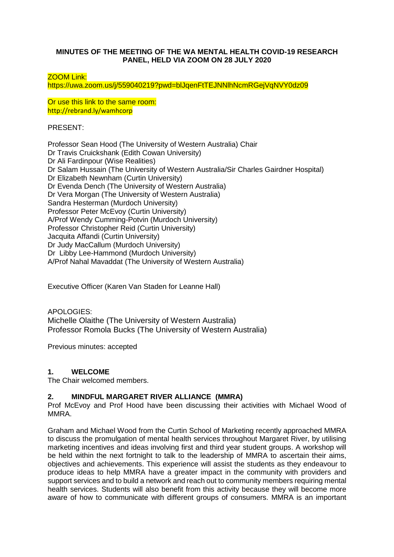#### **MINUTES OF THE MEETING OF THE WA MENTAL HEALTH COVID-19 RESEARCH PANEL, HELD VIA ZOOM ON 28 JULY 2020**

#### ZOOM Link:

https://uwa.zoom.us/j/559040219?pwd=blJqenFtTEJNNlhNcmRGejVqNVY0dz09

Or use this link to the same room: http://rebrand.ly/wamhcorp

PRESENT:

Professor Sean Hood (The University of Western Australia) Chair Dr Travis Cruickshank (Edith Cowan University) Dr Ali Fardinpour (Wise Realities) Dr Salam Hussain (The University of Western Australia/Sir Charles Gairdner Hospital) Dr Elizabeth Newnham (Curtin University) Dr Evenda Dench (The University of Western Australia) Dr Vera Morgan (The University of Western Australia) Sandra Hesterman (Murdoch University) Professor Peter McEvoy (Curtin University) A/Prof Wendy Cumming-Potvin (Murdoch University) Professor Christopher Reid (Curtin University) Jacquita Affandi (Curtin University) Dr Judy MacCallum (Murdoch University) Dr Libby Lee-Hammond (Murdoch University) A/Prof Nahal Mavaddat (The University of Western Australia)

Executive Officer (Karen Van Staden for Leanne Hall)

APOLOGIES: Michelle Olaithe (The University of Western Australia) Professor Romola Bucks (The University of Western Australia)

Previous minutes: accepted

### **1. WELCOME**

The Chair welcomed members.

### **2. MINDFUL MARGARET RIVER ALLIANCE (MMRA)**

Prof McEvoy and Prof Hood have been discussing their activities with Michael Wood of MMRA.

Graham and Michael Wood from the Curtin School of Marketing recently approached MMRA to discuss the promulgation of mental health services throughout Margaret River, by utilising marketing incentives and ideas involving first and third year student groups. A workshop will be held within the next fortnight to talk to the leadership of MMRA to ascertain their aims, objectives and achievements. This experience will assist the students as they endeavour to produce ideas to help MMRA have a greater impact in the community with providers and support services and to build a network and reach out to community members requiring mental health services. Students will also benefit from this activity because they will become more aware of how to communicate with different groups of consumers. MMRA is an important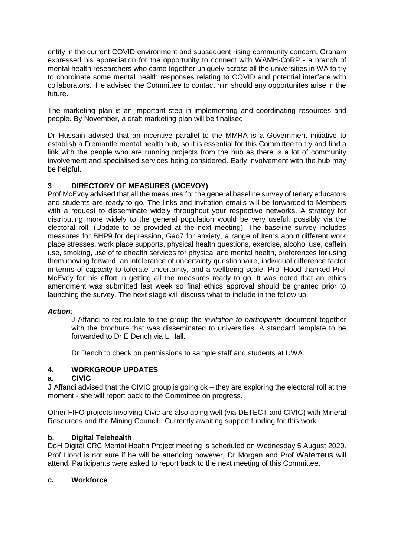entity in the current COVID environment and subsequent rising community concern. Graham expressed his appreciation for the opportunity to connect with WAMH-CoRP - a branch of mental health researchers who came together uniquely across all the universities in WA to try to coordinate some mental health responses relating to COVID and potential interface with collaborators. He advised the Committee to contact him should any opportunites arise in the future.

The marketing plan is an important step in implementing and coordinating resources and people. By November, a draft marketing plan will be finalised.

Dr Hussain advised that an incentive parallel to the MMRA is a Government initiative to establish a Fremantle mental health hub, so it is essential for this Committee to try and find a link with the people who are running projects from the hub as there is a lot of community involvement and specialised services being considered. Early involvement with the hub may be helpful.

# **3 DIRECTORY OF MEASURES (MCEVOY)**

Prof McEvoy advised that all the measures for the general baseline survey of teriary educators and students are ready to go. The links and invitation emails will be forwarded to Members with a request to disseminate widely throughout your respective networks. A strategy for distributing more widely to the general population would be very useful, possibly via the electoral roll. (Update to be provided at the next meeting). The baseline survey includes measures for BHP9 for depression, Gad7 for anxiety, a range of items about different work place stresses, work place supports, physical health questions, exercise, alcohol use, caffein use, smoking, use of telehealth services for physical and mental health, preferences for using them moving forward, an intolerance of uncertainty questionnaire, individual difference factor in terms of capacity to tolerate uncertainty, and a wellbeing scale. Prof Hood thanked Prof McEvoy for his effort in getting all the measures ready to go. It was noted that an ethics amendment was submitted last week so final ethics approval should be granted prior to launching the survey. The next stage will discuss what to include in the follow up.

### *Action*:

J Affandi to recirculate to the group the *invitation to participants* document together with the brochure that was disseminated to universities. A standard template to be forwarded to Dr E Dench via L Hall.

Dr Dench to check on permissions to sample staff and students at UWA.

### **4. WORKGROUP UPDATES**

### **a. CIVIC**

J Affandi advised that the CIVIC group is going ok – they are exploring the electoral roll at the moment - she will report back to the Committee on progress.

Other FIFO projects involving Civic are also going well (via DETECT and CIVIC) with Mineral Resources and the Mining Council. Currently awaiting support funding for this work.

### **b. Digital Telehealth**

DoH Digital CRC Mental Health Project meeting is scheduled on Wednesday 5 August 2020. Prof Hood is not sure if he will be attending however, Dr Morgan and Prof Waterreus will attend. Participants were asked to report back to the next meeting of this Committee.

### **c. Workforce**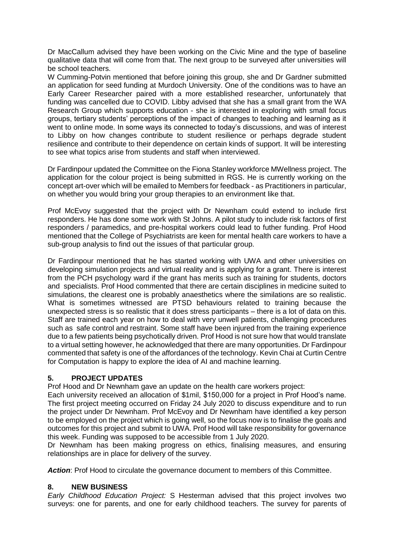Dr MacCallum advised they have been working on the Civic Mine and the type of baseline qualitative data that will come from that. The next group to be surveyed after universities will be school teachers.

W Cumming-Potvin mentioned that before joining this group, she and Dr Gardner submitted an application for seed funding at Murdoch University. One of the conditions was to have an Early Career Researcher paired with a more established researcher, unfortunately that funding was cancelled due to COVID. Libby advised that she has a small grant from the WA Research Group which supports education - she is interested in exploring with small focus groups, tertiary students' perceptions of the impact of changes to teaching and learning as it went to online mode. In some ways its connected to today's discussions, and was of interest to Libby on how changes contribute to student resilience or perhaps degrade student resilience and contribute to their dependence on certain kinds of support. It will be interesting to see what topics arise from students and staff when interviewed.

Dr Fardinpour updated the Committee on the Fiona Stanley workforce MWellness project. The application for the colour project is being submitted in RGS. He is currently working on the concept art-over which will be emailed to Members for feedback - as Practitioners in particular, on whether you would bring your group therapies to an environment like that.

Prof McEvoy suggested that the project with Dr Newnham could extend to include first responders. He has done some work with St Johns. A pilot study to include risk factors of first responders / paramedics, and pre-hospital workers could lead to futher funding. Prof Hood mentioned that the College of Psychiatrists are keen for mental health care workers to have a sub-group analysis to find out the issues of that particular group.

Dr Fardinpour mentioned that he has started working with UWA and other universities on developing simulation projects and virtual reality and is applying for a grant. There is interest from the PCH psychology ward if the grant has merits such as training for students, doctors and specialists. Prof Hood commented that there are certain disciplines in medicine suited to simulations, the clearest one is probably anaesthetics where the similations are so realistic. What is sometimes witnessed are PTSD behaviours related to training because the unexpected stress is so realistic that it does stress participants – there is a lot of data on this. Staff are trained each year on how to deal with very unwell patients, challenging procedures such as safe control and restraint. Some staff have been injured from the training experience due to a few patients being psychotically driven. Prof Hood is not sure how that would translate to a virtual setting however, he acknowledged that there are many opportunities. Dr Fardinpour commented that safety is one of the affordances of the technology. Kevin Chai at Curtin Centre for Computation is happy to explore the idea of AI and machine learning.

### **5. PROJECT UPDATES**

Prof Hood and Dr Newnham gave an update on the health care workers project:

Each university received an allocation of \$1mil, \$150,000 for a project in Prof Hood's name. The first project meeting occurred on Friday 24 July 2020 to discuss expenditure and to run the project under Dr Newnham. Prof McEvoy and Dr Newnham have identified a key person to be employed on the project which is going well, so the focus now is to finalise the goals and outcomes for this project and submit to UWA. Prof Hood will take responsibility for governance this week. Funding was supposed to be accessible from 1 July 2020.

Dr Newnham has been making progress on ethics, finalising measures, and ensuring relationships are in place for delivery of the survey.

*Action*: Prof Hood to circulate the governance document to members of this Committee.

# **8. NEW BUSINESS**

*Early Childhood Education Project:* S Hesterman advised that this project involves two surveys: one for parents, and one for early childhood teachers. The survey for parents of